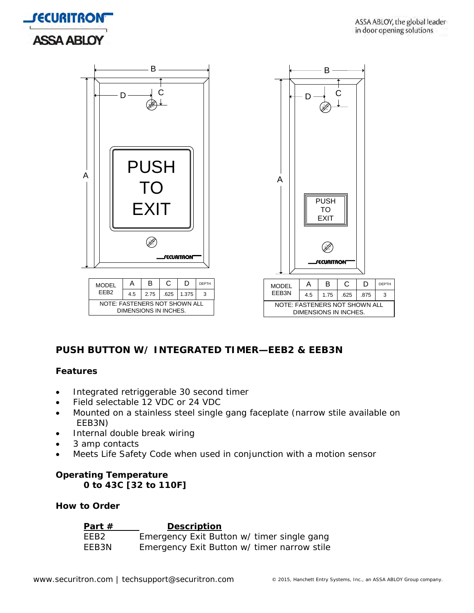



# **PUSH BUTTON W/ INTEGRATED TIMER—EEB2 & EEB3N**

### **Features**

- Integrated retriggerable 30 second timer
- Field selectable 12 VDC or 24 VDC
- Mounted on a stainless steel single gang faceplate (narrow stile available on EEB3N)
- Internal double break wiring
- 3 amp contacts
- Meets Life Safety Code when used in conjunction with a motion sensor

# **Operating Temperature 0 to 43C [32 to 110F]**

### **How to Order**

| Part $#$         | <b>Description</b>                          |  |
|------------------|---------------------------------------------|--|
| FFB <sub>2</sub> | Emergency Exit Button w/ timer single gang  |  |
| EEB3N            | Emergency Exit Button w/ timer narrow stile |  |